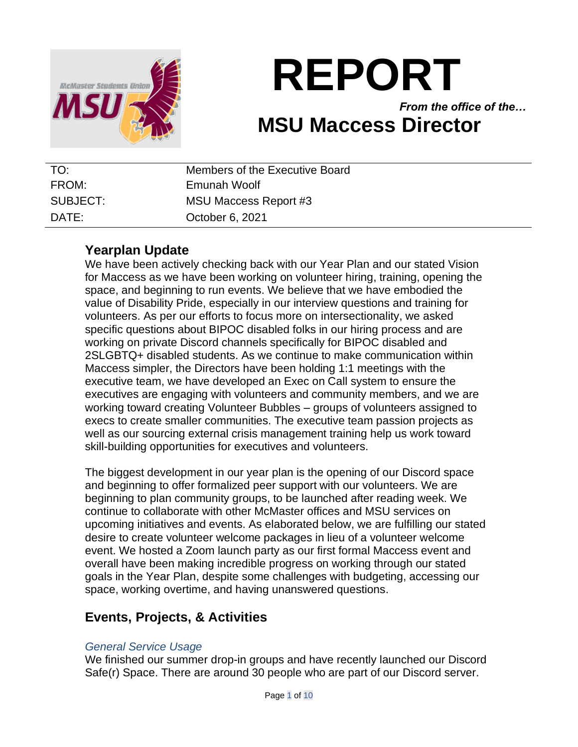

# **REPORT**

*From the office of the…* **MSU Maccess Director**

| TO:      | Members of the Executive Board |
|----------|--------------------------------|
| FROM:    | Emunah Woolf                   |
| SUBJECT: | MSU Maccess Report #3          |
| DATF:    | October 6, 2021                |

# **Yearplan Update**

We have been actively checking back with our Year Plan and our stated Vision for Maccess as we have been working on volunteer hiring, training, opening the space, and beginning to run events. We believe that we have embodied the value of Disability Pride, especially in our interview questions and training for volunteers. As per our efforts to focus more on intersectionality, we asked specific questions about BIPOC disabled folks in our hiring process and are working on private Discord channels specifically for BIPOC disabled and 2SLGBTQ+ disabled students. As we continue to make communication within Maccess simpler, the Directors have been holding 1:1 meetings with the executive team, we have developed an Exec on Call system to ensure the executives are engaging with volunteers and community members, and we are working toward creating Volunteer Bubbles – groups of volunteers assigned to execs to create smaller communities. The executive team passion projects as well as our sourcing external crisis management training help us work toward skill-building opportunities for executives and volunteers.

The biggest development in our year plan is the opening of our Discord space and beginning to offer formalized peer support with our volunteers. We are beginning to plan community groups, to be launched after reading week. We continue to collaborate with other McMaster offices and MSU services on upcoming initiatives and events. As elaborated below, we are fulfilling our stated desire to create volunteer welcome packages in lieu of a volunteer welcome event. We hosted a Zoom launch party as our first formal Maccess event and overall have been making incredible progress on working through our stated goals in the Year Plan, despite some challenges with budgeting, accessing our space, working overtime, and having unanswered questions.

# **Events, Projects, & Activities**

## *General Service Usage*

We finished our summer drop-in groups and have recently launched our Discord Safe(r) Space. There are around 30 people who are part of our Discord server.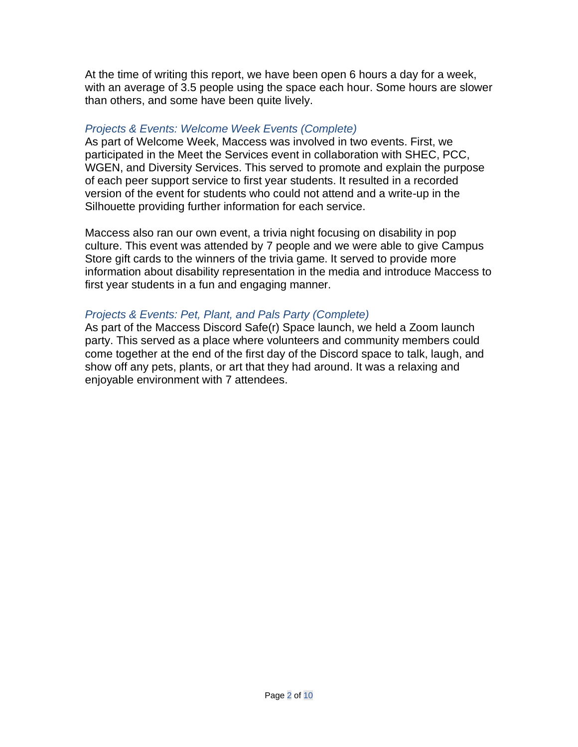At the time of writing this report, we have been open 6 hours a day for a week, with an average of 3.5 people using the space each hour. Some hours are slower than others, and some have been quite lively.

#### *Projects & Events: Welcome Week Events (Complete)*

As part of Welcome Week, Maccess was involved in two events. First, we participated in the Meet the Services event in collaboration with SHEC, PCC, WGEN, and Diversity Services. This served to promote and explain the purpose of each peer support service to first year students. It resulted in a recorded version of the event for students who could not attend and a write-up in the Silhouette providing further information for each service.

Maccess also ran our own event, a trivia night focusing on disability in pop culture. This event was attended by 7 people and we were able to give Campus Store gift cards to the winners of the trivia game. It served to provide more information about disability representation in the media and introduce Maccess to first year students in a fun and engaging manner.

## *Projects & Events: Pet, Plant, and Pals Party (Complete)*

As part of the Maccess Discord Safe(r) Space launch, we held a Zoom launch party. This served as a place where volunteers and community members could come together at the end of the first day of the Discord space to talk, laugh, and show off any pets, plants, or art that they had around. It was a relaxing and enjoyable environment with 7 attendees.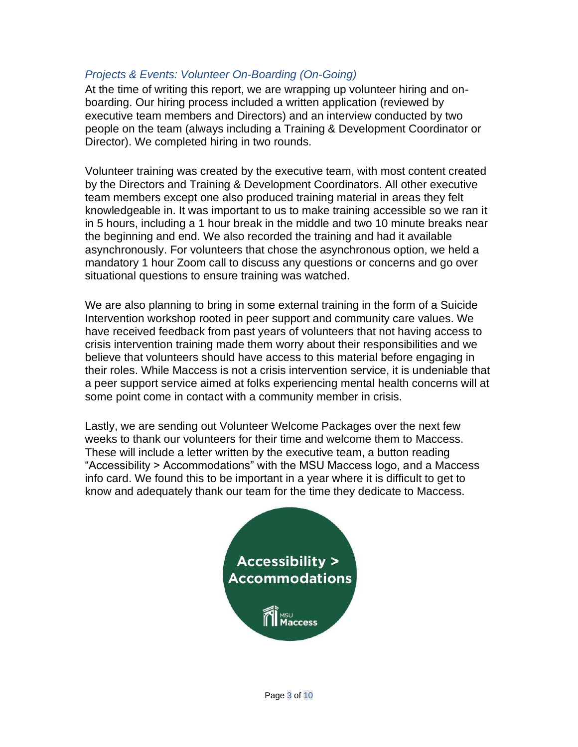## *Projects & Events: Volunteer On-Boarding (On-Going)*

At the time of writing this report, we are wrapping up volunteer hiring and onboarding. Our hiring process included a written application (reviewed by executive team members and Directors) and an interview conducted by two people on the team (always including a Training & Development Coordinator or Director). We completed hiring in two rounds.

Volunteer training was created by the executive team, with most content created by the Directors and Training & Development Coordinators. All other executive team members except one also produced training material in areas they felt knowledgeable in. It was important to us to make training accessible so we ran it in 5 hours, including a 1 hour break in the middle and two 10 minute breaks near the beginning and end. We also recorded the training and had it available asynchronously. For volunteers that chose the asynchronous option, we held a mandatory 1 hour Zoom call to discuss any questions or concerns and go over situational questions to ensure training was watched.

We are also planning to bring in some external training in the form of a Suicide Intervention workshop rooted in peer support and community care values. We have received feedback from past years of volunteers that not having access to crisis intervention training made them worry about their responsibilities and we believe that volunteers should have access to this material before engaging in their roles. While Maccess is not a crisis intervention service, it is undeniable that a peer support service aimed at folks experiencing mental health concerns will at some point come in contact with a community member in crisis.

Lastly, we are sending out Volunteer Welcome Packages over the next few weeks to thank our volunteers for their time and welcome them to Maccess. These will include a letter written by the executive team, a button reading "Accessibility > Accommodations" with the MSU Maccess logo, and a Maccess info card. We found this to be important in a year where it is difficult to get to know and adequately thank our team for the time they dedicate to Maccess.

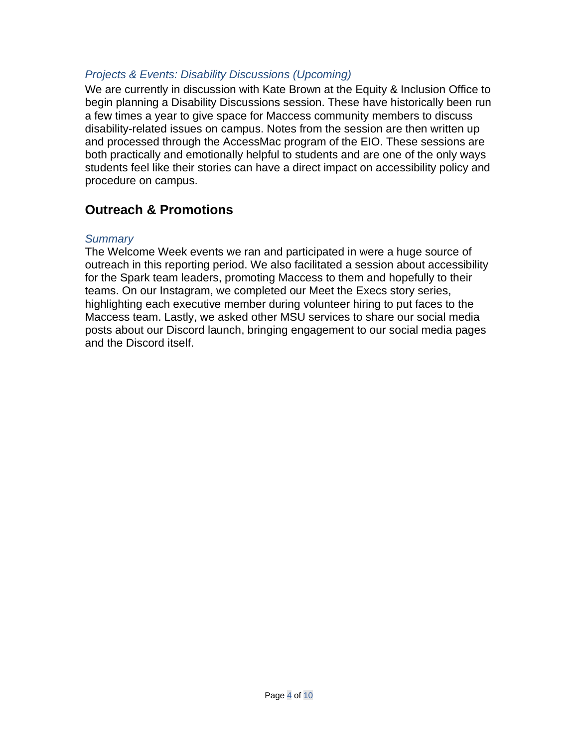## *Projects & Events: Disability Discussions (Upcoming)*

We are currently in discussion with Kate Brown at the Equity & Inclusion Office to begin planning a Disability Discussions session. These have historically been run a few times a year to give space for Maccess community members to discuss disability-related issues on campus. Notes from the session are then written up and processed through the AccessMac program of the EIO. These sessions are both practically and emotionally helpful to students and are one of the only ways students feel like their stories can have a direct impact on accessibility policy and procedure on campus.

## **Outreach & Promotions**

#### *Summary*

The Welcome Week events we ran and participated in were a huge source of outreach in this reporting period. We also facilitated a session about accessibility for the Spark team leaders, promoting Maccess to them and hopefully to their teams. On our Instagram, we completed our Meet the Execs story series, highlighting each executive member during volunteer hiring to put faces to the Maccess team. Lastly, we asked other MSU services to share our social media posts about our Discord launch, bringing engagement to our social media pages and the Discord itself.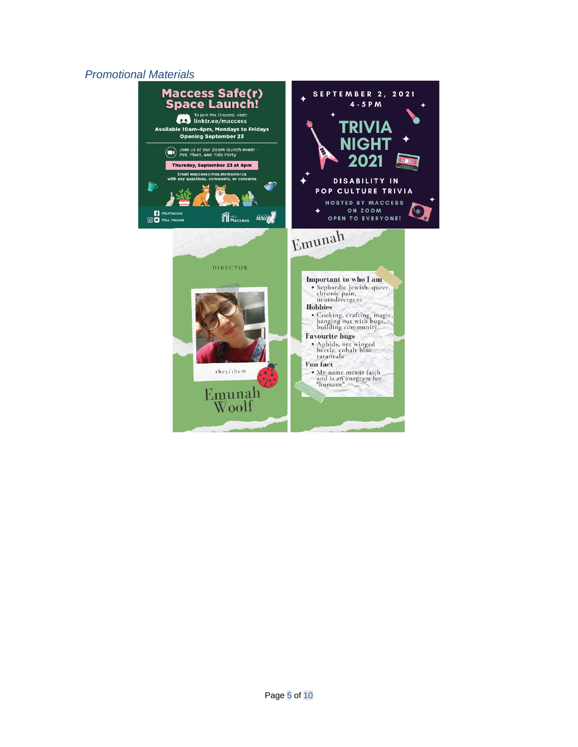#### *Promotional Materials*

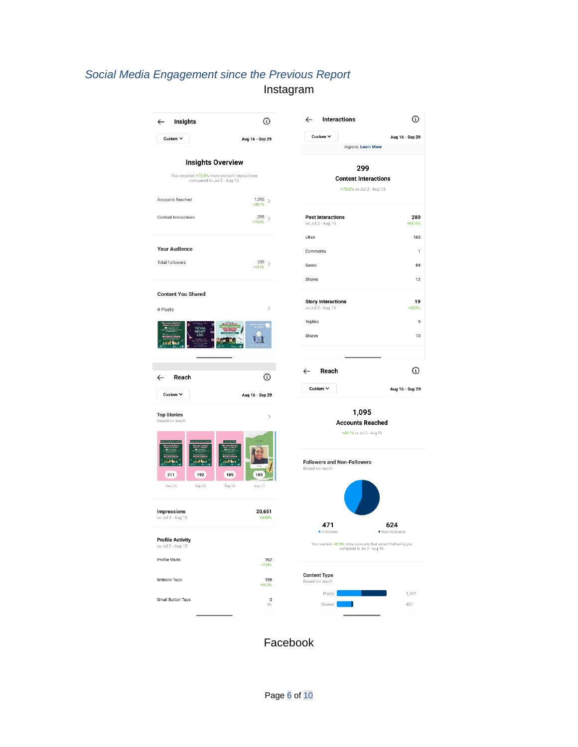# *Social Media Engagement since the Previous Report* Instagram

| Insights<br>$\leftarrow$                                                                                 | ⊙                                                                        | <b>Interactions</b><br>$\leftarrow$                                                        | ⊙                          |
|----------------------------------------------------------------------------------------------------------|--------------------------------------------------------------------------|--------------------------------------------------------------------------------------------|----------------------------|
| Custom V                                                                                                 | Aug 16 - Sep 29                                                          | Custom $\sim$<br>regions. Learn More                                                       | Aug 16 - Sep 29            |
| <b>Insights Overview</b><br>You received +73.8% more content interactions<br>compared to Jul 2 - Aug 15. |                                                                          | 299<br><b>Content Interactions</b><br>+73.8% vs Jul 2 - Aug 15                             |                            |
| Accounts Reached<br>Content Interactions                                                                 | $^{1,095}$ $\rightarrow$<br>$+49.7%$<br>299<br>$\rightarrow$<br>$+73.8%$ | <b>Post Interactions</b><br>vs Jul 2 - Aug 15                                              | 280<br>$+65.6%$            |
| <b>Your Audience</b><br><b>Total Followers</b>                                                           | $739$ ><br>$+10.1%$                                                      | Likes<br>Comments<br>Saves                                                                 | 183<br>$\mathbf{1}$<br>84  |
| <b>Content You Shared</b><br>4 Posts                                                                     | $\,$                                                                     | Shares<br><b>Story Interactions</b><br>vs Jul 2 - Aug 15<br>Replies                        | 12<br>19<br>+533%<br>9     |
| Reach<br>$\leftarrow$                                                                                    | ⊙                                                                        | Shares<br>Reach<br>$\leftarrow$<br>Custom V                                                | 10<br>⊙<br>Aug 16 - Sep 29 |
| Custom $\vee$<br>Aug 16 - Sep 29<br><b>Top Stories</b><br>$\mathcal{P}$<br>Based on reach                |                                                                          | 1,095<br><b>Accounts Reached</b><br>+49.7% vs Jul 2 - Aug 15                               |                            |
| 192<br>211<br>Sep 23<br>Sep 23                                                                           | 189<br>185<br>Sep 23<br>Aug 17                                           | <b>Followers and Non-Followers</b><br>Based on reach                                       |                            |
| <b>Impressions</b><br>vs Jul 2 - Aug 15<br><b>Profile Activity</b>                                       | 20,651<br>+408%                                                          | 471<br>· Followers                                                                         | 624<br>· Non-Followers     |
| vs Jul 2 - Aug 15<br>Profile Visits                                                                      | 762<br>+133%                                                             | You reached +82.9% more accounts that weren't following you<br>compared to Jul 2 - Aug 15. |                            |
| Website Taps                                                                                             | 158<br>$+90.3%$                                                          | <b>Content Type</b><br>Based on reach<br>Posts                                             | 1,347                      |
| <b>Email Button Taps</b>                                                                                 | $\mathbf 0$<br>$0\%$                                                     | Stories                                                                                    | 457                        |

Facebook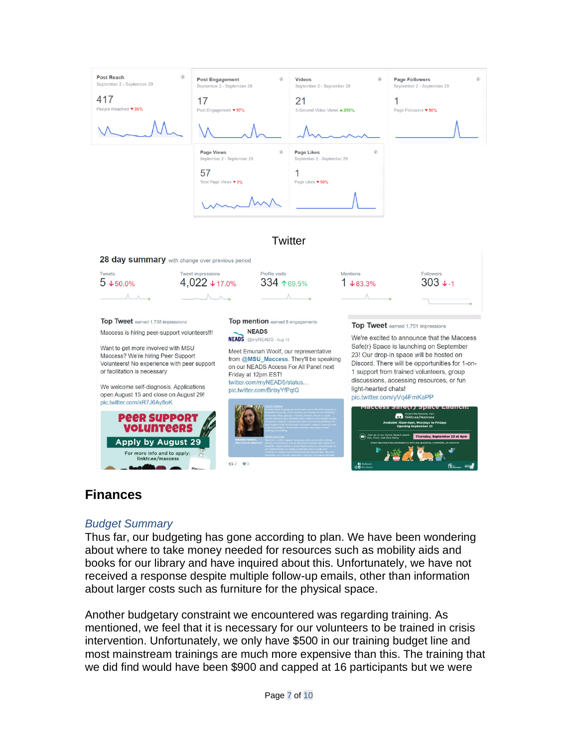

#### **Twitter**

28 day summary with change over previous period



## **Finances**

#### *Budget Summary*

Thus far, our budgeting has gone according to plan. We have been wondering about where to take money needed for resources such as mobility aids and books for our library and have inquired about this. Unfortunately, we have not received a response despite multiple follow-up emails, other than information about larger costs such as furniture for the physical space.

Another budgetary constraint we encountered was regarding training. As mentioned, we feel that it is necessary for our volunteers to be trained in crisis intervention. Unfortunately, we only have \$500 in our training budget line and most mainstream trainings are much more expensive than this. The training that we did find would have been \$900 and capped at 16 participants but we were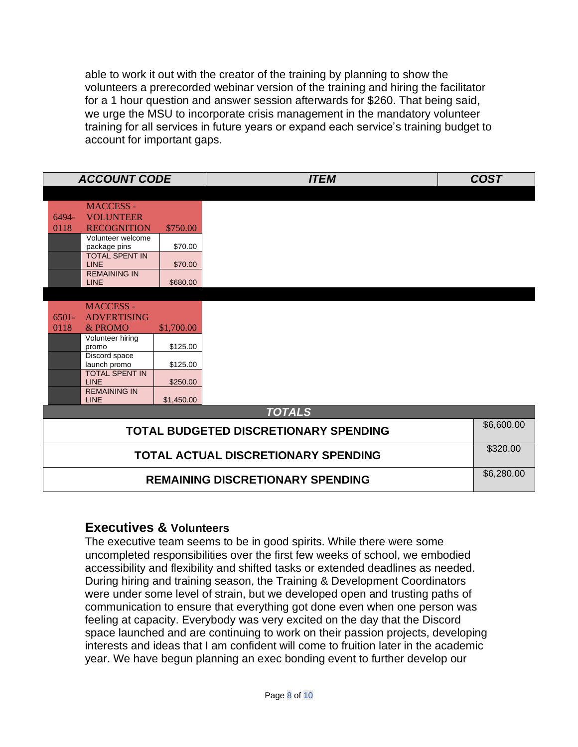able to work it out with the creator of the training by planning to show the volunteers a prerecorded webinar version of the training and hiring the facilitator for a 1 hour question and answer session afterwards for \$260. That being said, we urge the MSU to incorporate crisis management in the mandatory volunteer training for all services in future years or expand each service's training budget to account for important gaps.

|                                            | <b>ACCOUNT CODE</b>                   |            | <b>ITEM</b> | <b>COST</b> |  |
|--------------------------------------------|---------------------------------------|------------|-------------|-------------|--|
|                                            |                                       |            |             |             |  |
|                                            | <b>MACCESS -</b>                      |            |             |             |  |
| 6494-                                      | <b>VOLUNTEER</b>                      |            |             |             |  |
| 0118                                       | <b>RECOGNITION</b>                    | \$750.00   |             |             |  |
|                                            | Volunteer welcome                     |            |             |             |  |
|                                            | package pins<br><b>TOTAL SPENT IN</b> | \$70.00    |             |             |  |
|                                            | <b>LINE</b>                           | \$70.00    |             |             |  |
|                                            | <b>REMAINING IN</b>                   |            |             |             |  |
|                                            | <b>LINE</b>                           | \$680.00   |             |             |  |
|                                            |                                       |            |             |             |  |
|                                            | <b>MACCESS -</b>                      |            |             |             |  |
| $6501 -$                                   | <b>ADVERTISING</b>                    |            |             |             |  |
| 0118                                       | $&$ PROMO                             | \$1,700.00 |             |             |  |
|                                            | Volunteer hiring                      |            |             |             |  |
|                                            | promo<br>Discord space                | \$125.00   |             |             |  |
|                                            | launch promo                          | \$125.00   |             |             |  |
|                                            | <b>TOTAL SPENT IN</b>                 |            |             |             |  |
|                                            | <b>LINE</b><br><b>REMAINING IN</b>    | \$250.00   |             |             |  |
|                                            | <b>LINE</b>                           | \$1,450.00 |             |             |  |
| <b>TOTALS</b>                              |                                       |            |             |             |  |
| TOTAL BUDGETED DISCRETIONARY SPENDING      |                                       |            | \$6,600.00  |             |  |
|                                            |                                       |            |             |             |  |
| <b>TOTAL ACTUAL DISCRETIONARY SPENDING</b> |                                       |            | \$320.00    |             |  |
|                                            |                                       |            |             |             |  |
| <b>REMAINING DISCRETIONARY SPENDING</b>    |                                       |            |             | \$6,280.00  |  |

## **Executives & Volunteers**

The executive team seems to be in good spirits. While there were some uncompleted responsibilities over the first few weeks of school, we embodied accessibility and flexibility and shifted tasks or extended deadlines as needed. During hiring and training season, the Training & Development Coordinators were under some level of strain, but we developed open and trusting paths of communication to ensure that everything got done even when one person was feeling at capacity. Everybody was very excited on the day that the Discord space launched and are continuing to work on their passion projects, developing interests and ideas that I am confident will come to fruition later in the academic year. We have begun planning an exec bonding event to further develop our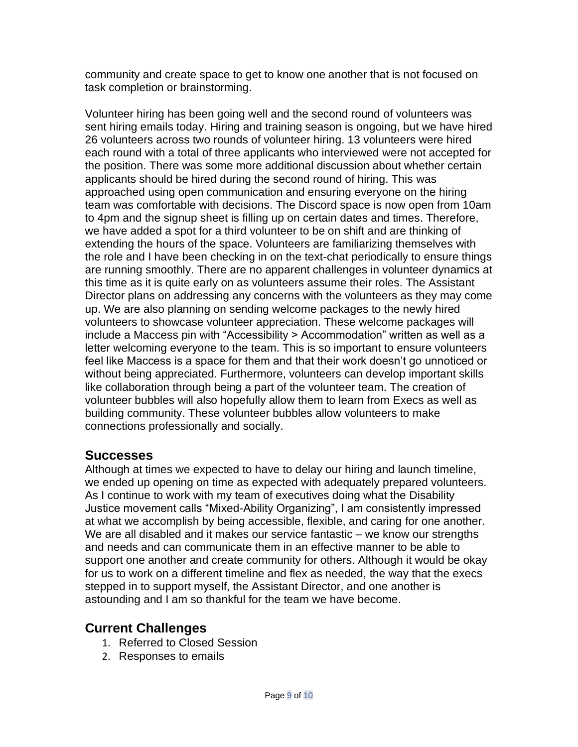community and create space to get to know one another that is not focused on task completion or brainstorming.

Volunteer hiring has been going well and the second round of volunteers was sent hiring emails today. Hiring and training season is ongoing, but we have hired 26 volunteers across two rounds of volunteer hiring. 13 volunteers were hired each round with a total of three applicants who interviewed were not accepted for the position. There was some more additional discussion about whether certain applicants should be hired during the second round of hiring. This was approached using open communication and ensuring everyone on the hiring team was comfortable with decisions. The Discord space is now open from 10am to 4pm and the signup sheet is filling up on certain dates and times. Therefore, we have added a spot for a third volunteer to be on shift and are thinking of extending the hours of the space. Volunteers are familiarizing themselves with the role and I have been checking in on the text-chat periodically to ensure things are running smoothly. There are no apparent challenges in volunteer dynamics at this time as it is quite early on as volunteers assume their roles. The Assistant Director plans on addressing any concerns with the volunteers as they may come up. We are also planning on sending welcome packages to the newly hired volunteers to showcase volunteer appreciation. These welcome packages will include a Maccess pin with "Accessibility > Accommodation" written as well as a letter welcoming everyone to the team. This is so important to ensure volunteers feel like Maccess is a space for them and that their work doesn't go unnoticed or without being appreciated. Furthermore, volunteers can develop important skills like collaboration through being a part of the volunteer team. The creation of volunteer bubbles will also hopefully allow them to learn from Execs as well as building community. These volunteer bubbles allow volunteers to make connections professionally and socially.

## **Successes**

Although at times we expected to have to delay our hiring and launch timeline, we ended up opening on time as expected with adequately prepared volunteers. As I continue to work with my team of executives doing what the Disability Justice movement calls "Mixed-Ability Organizing", I am consistently impressed at what we accomplish by being accessible, flexible, and caring for one another. We are all disabled and it makes our service fantastic – we know our strengths and needs and can communicate them in an effective manner to be able to support one another and create community for others. Although it would be okay for us to work on a different timeline and flex as needed, the way that the execs stepped in to support myself, the Assistant Director, and one another is astounding and I am so thankful for the team we have become.

# **Current Challenges**

- 1. Referred to Closed Session
- 2. Responses to emails